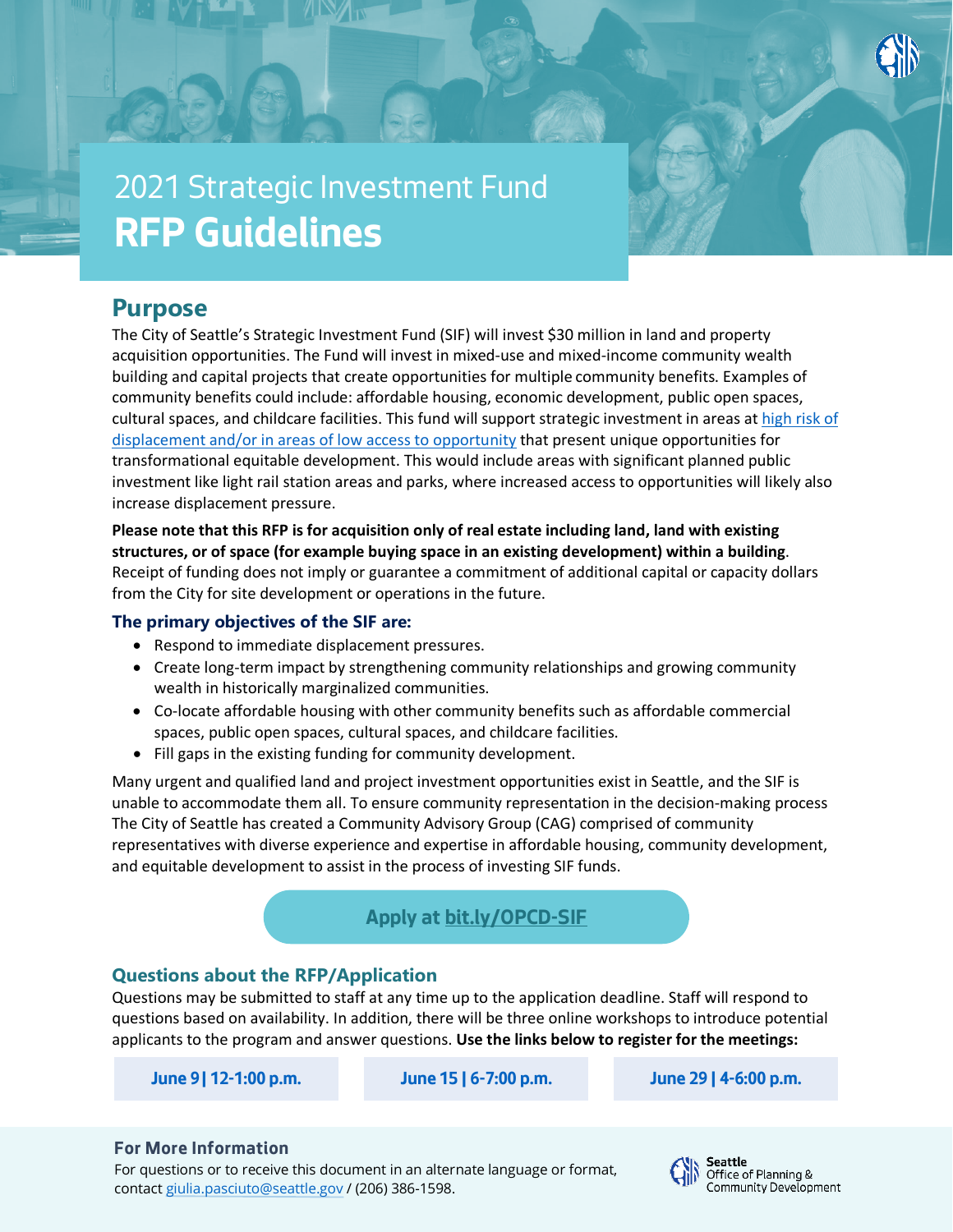

# 2021 Strategic Investment Fund **RFP Guidelines**

# **Purpose**

The City of Seattle's Strategic Investment Fund (SIF) will invest \$30 million in land and property acquisition opportunities. The Fund will invest in mixed-use and mixed-income community wealth building and capital projects that create opportunities for multiple community benefits. Examples of community benefits could include: affordable housing, economic development, public open spaces, cultural spaces, and childcare facilities. This fund will support strategic investment in areas at [high risk of](https://www.seattle.gov/Documents/Departments/OPCD/OngoingInitiatives/SeattlesComprehensivePlan/2035EquityAnalysisSummary.pdf)  [displacement and/or in areas of low access to opportunity](https://www.seattle.gov/Documents/Departments/OPCD/OngoingInitiatives/SeattlesComprehensivePlan/2035EquityAnalysisSummary.pdf) that present unique opportunities for transformational equitable development. This would include areas with significant planned public investment like light rail station areas and parks, where increased access to opportunities will likely also increase displacement pressure.

**Please note that this RFP is for acquisition only of real estate including land, land with existing structures, or of space (for example buying space in an existing development) within a building**. Receipt of funding does not imply or guarantee a commitment of additional capital or capacity dollars from the City for site development or operations in the future.

#### **The primary objectives of the SIF are:**

- Respond to immediate displacement pressures.
- Create long-term impact by strengthening community relationships and growing community wealth in historically marginalized communities.
- Co-locate affordable housing with other community benefits such as affordable commercial spaces, public open spaces, cultural spaces, and childcare facilities.
- Fill gaps in the existing funding for community development.

Many urgent and qualified land and project investment opportunities exist in Seattle, and the SIF is unable to accommodate them all. To ensure community representation in the decision-making process The City of Seattle has created a Community Advisory Group (CAG) comprised of community representatives with diverse experience and expertise in affordable housing, community development, and equitable development to assist in the process of investing SIF funds.

# **Apply at [bit.ly/OPCD-SIF](https://bit.ly/OPCD-SIF)**

# **Questions about the RFP/Application**

Questions may be submitted to staff at any time up to the application deadline. Staff will respond to questions based on availability. In addition, there will be three online workshops to introduce potential applicants to the program and answer questions. **Use the links below to register for the meetings:**

**[June 9| 12-1:00 p.m.](https://seattle.webex.com/webappng/sites/seattle/meeting/info/44be3f6306644f909c771134a1e8b21d) June 15 [| 6-7:00 p.m.](https://seattle.webex.com/webappng/sites/seattle/meeting/info/0f89df6654e44afebc0950e3b7afdec1) June 29 [| 4-6:00 p.m.](https://seattle.webex.com/webappng/sites/seattle/meeting/info/089d460a6a684ce5b52f3e2a2b790531)**

#### **For More Information**

For questions or to receive this document in an alternate language or format, contac[t giulia.pasciuto@seattle.gov](mailto:giulia.pasciuto@seattle.gov) / (206) 386-1598.

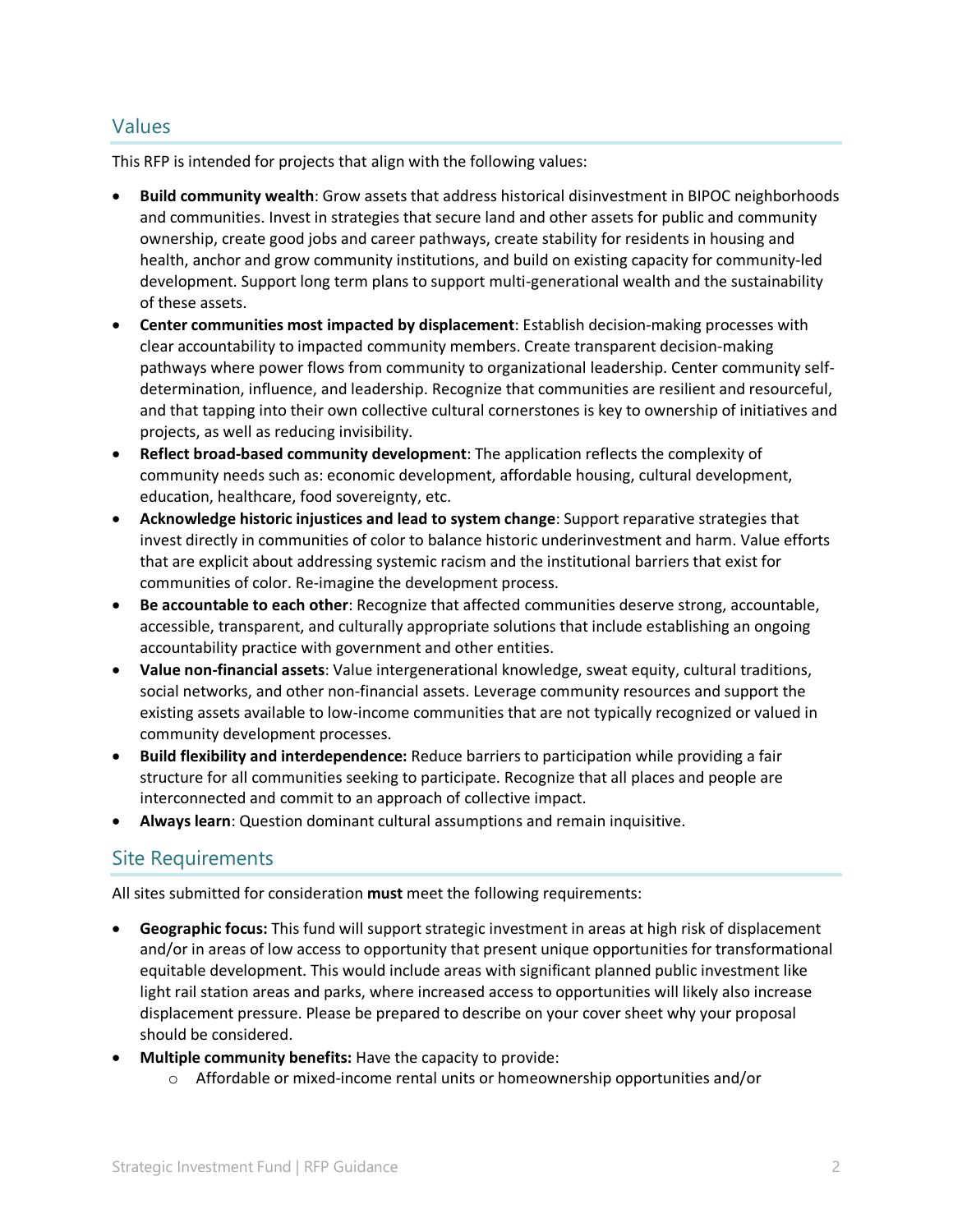### Values

This RFP is intended for projects that align with the following values:

- **Build community wealth**: Grow assets that address historical disinvestment in BIPOC neighborhoods and communities. Invest in strategies that secure land and other assets for public and community ownership, create good jobs and career pathways, create stability for residents in housing and health, anchor and grow community institutions, and build on existing capacity for community-led development. Support long term plans to support multi-generational wealth and the sustainability of these assets.
- **Center communities most impacted by displacement**: Establish decision-making processes with clear accountability to impacted community members. Create transparent decision-making pathways where power flows from community to organizational leadership. Center community selfdetermination, influence, and leadership. Recognize that communities are resilient and resourceful, and that tapping into their own collective cultural cornerstones is key to ownership of initiatives and projects, as well as reducing invisibility.
- **Reflect broad-based community development**: The application reflects the complexity of community needs such as: economic development, affordable housing, cultural development, education, healthcare, food sovereignty, etc.
- **Acknowledge historic injustices and lead to system change**: Support reparative strategies that invest directly in communities of color to balance historic underinvestment and harm. Value efforts that are explicit about addressing systemic racism and the institutional barriers that exist for communities of color. Re-imagine the development process.
- **Be accountable to each other**: Recognize that affected communities deserve strong, accountable, accessible, transparent, and culturally appropriate solutions that include establishing an ongoing accountability practice with government and other entities.
- **Value non-financial assets**: Value intergenerational knowledge, sweat equity, cultural traditions, social networks, and other non-financial assets. Leverage community resources and support the existing assets available to low-income communities that are not typically recognized or valued in community development processes.
- **Build flexibility and interdependence:** Reduce barriers to participation while providing a fair structure for all communities seeking to participate. Recognize that all places and people are interconnected and commit to an approach of collective impact.
- **Always learn**: Question dominant cultural assumptions and remain inquisitive.

# Site Requirements

All sites submitted for consideration **must** meet the following requirements:

- **Geographic focus:** This fund will support strategic investment in areas at high risk of displacement and/or in areas of low access to opportunity that present unique opportunities for transformational equitable development. This would include areas with significant planned public investment like light rail station areas and parks, where increased access to opportunities will likely also increase displacement pressure. Please be prepared to describe on your cover sheet why your proposal should be considered.
- **Multiple community benefits:** Have the capacity to provide:
	- o Affordable or mixed-income rental units or homeownership opportunities and/or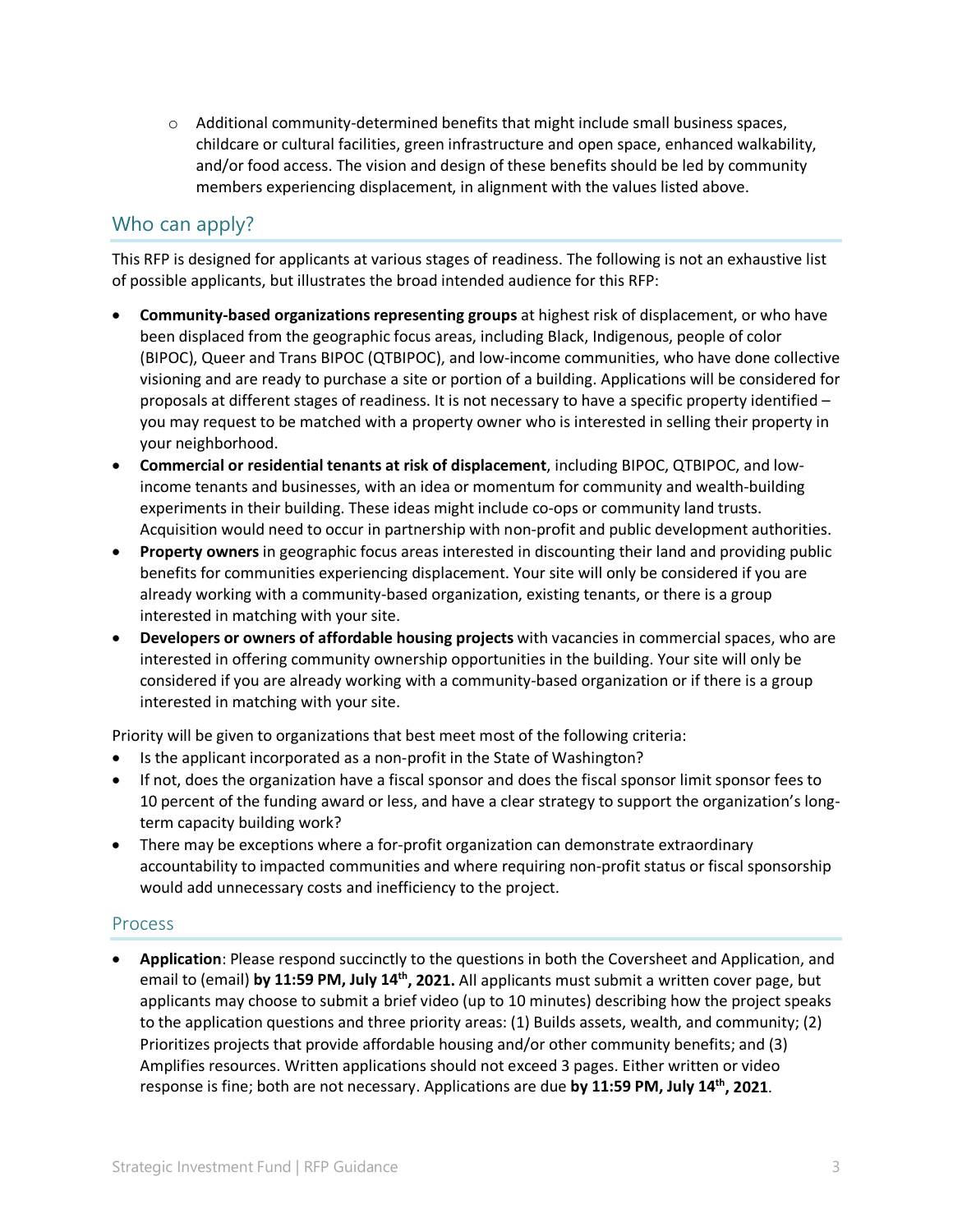$\circ$  Additional community-determined benefits that might include small business spaces, childcare or cultural facilities, green infrastructure and open space, enhanced walkability, and/or food access. The vision and design of these benefits should be led by community members experiencing displacement, in alignment with the values listed above.

# Who can apply?

This RFP is designed for applicants at various stages of readiness. The following is not an exhaustive list of possible applicants, but illustrates the broad intended audience for this RFP:

- **Community-based organizations representing groups** at highest risk of displacement, or who have been displaced from the geographic focus areas, including Black, Indigenous, people of color (BIPOC), Queer and Trans BIPOC (QTBIPOC), and low-income communities, who have done collective visioning and are ready to purchase a site or portion of a building. Applications will be considered for proposals at different stages of readiness. It is not necessary to have a specific property identified – you may request to be matched with a property owner who is interested in selling their property in your neighborhood.
- **Commercial or residential tenants at risk of displacement**, including BIPOC, QTBIPOC, and lowincome tenants and businesses, with an idea or momentum for community and wealth-building experiments in their building. These ideas might include co-ops or community land trusts. Acquisition would need to occur in partnership with non-profit and public development authorities.
- **Property owners** in geographic focus areas interested in discounting their land and providing public benefits for communities experiencing displacement. Your site will only be considered if you are already working with a community-based organization, existing tenants, or there is a group interested in matching with your site.
- **Developers or owners of affordable housing projects** with vacancies in commercial spaces, who are interested in offering community ownership opportunities in the building. Your site will only be considered if you are already working with a community-based organization or if there is a group interested in matching with your site.

Priority will be given to organizations that best meet most of the following criteria:

- Is the applicant incorporated as a non-profit in the State of Washington?
- If not, does the organization have a fiscal sponsor and does the fiscal sponsor limit sponsor fees to 10 percent of the funding award or less, and have a clear strategy to support the organization's longterm capacity building work?
- There may be exceptions where a for-profit organization can demonstrate extraordinary accountability to impacted communities and where requiring non-profit status or fiscal sponsorship would add unnecessary costs and inefficiency to the project.

#### Process

• **Application**: Please respond succinctly to the questions in both the Coversheet and Application, and email to (email) **by 11:59 PM, July 14th, 2021.** All applicants must submit a written cover page, but applicants may choose to submit a brief video (up to 10 minutes) describing how the project speaks to the application questions and three priority areas: (1) Builds assets, wealth, and community; (2) Prioritizes projects that provide affordable housing and/or other community benefits; and (3) Amplifies resources. Written applications should not exceed 3 pages. Either written or video response is fine; both are not necessary. Applications are due **by 11:59 PM, July 14th, 2021**.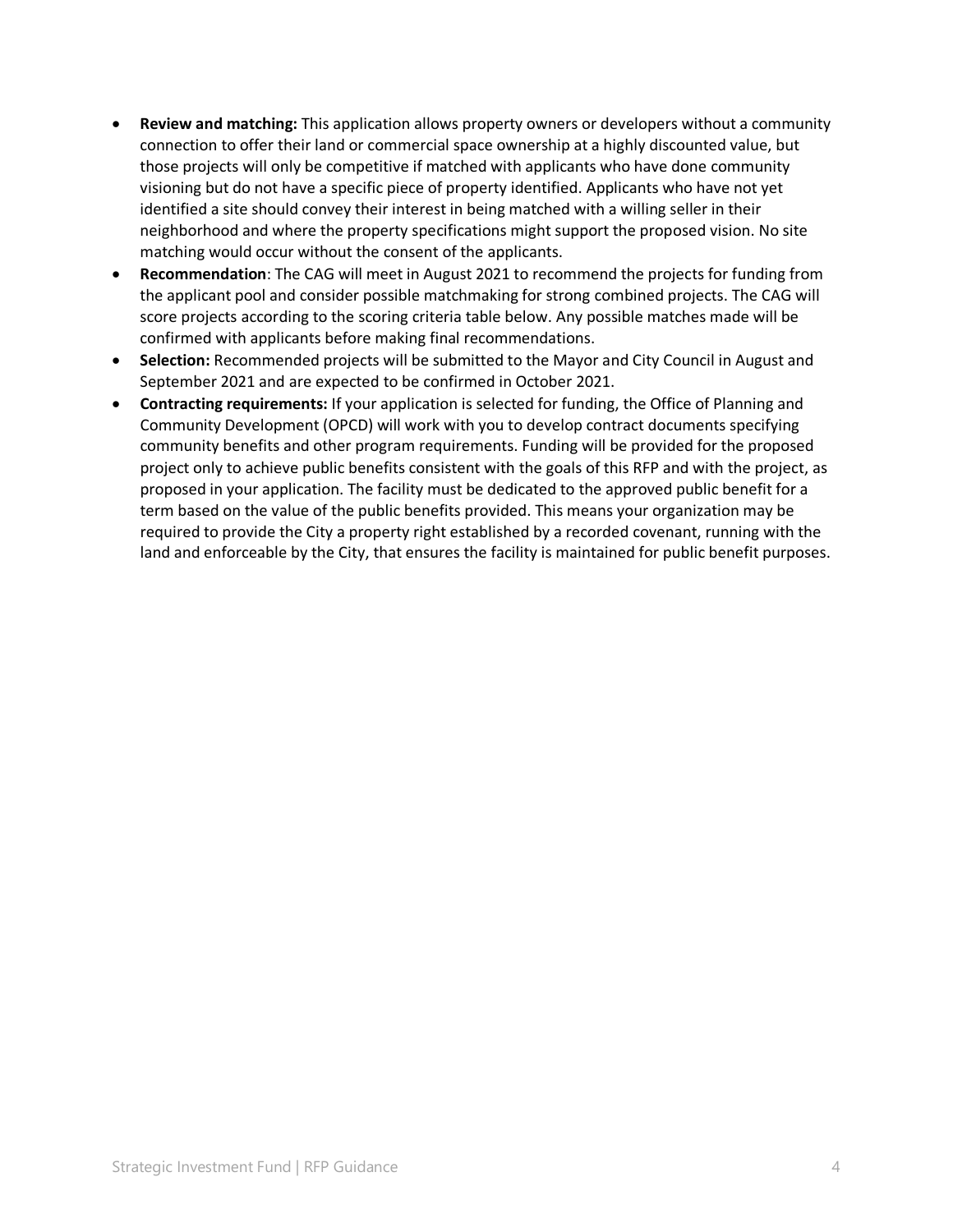- **Review and matching:** This application allows property owners or developers without a community connection to offer their land or commercial space ownership at a highly discounted value, but those projects will only be competitive if matched with applicants who have done community visioning but do not have a specific piece of property identified. Applicants who have not yet identified a site should convey their interest in being matched with a willing seller in their neighborhood and where the property specifications might support the proposed vision. No site matching would occur without the consent of the applicants.
- **Recommendation**: The CAG will meet in August 2021 to recommend the projects for funding from the applicant pool and consider possible matchmaking for strong combined projects. The CAG will score projects according to the scoring criteria table below. Any possible matches made will be confirmed with applicants before making final recommendations.
- **Selection:** Recommended projects will be submitted to the Mayor and City Council in August and September 2021 and are expected to be confirmed in October 2021.
- **Contracting requirements:** If your application is selected for funding, the Office of Planning and Community Development (OPCD) will work with you to develop contract documents specifying community benefits and other program requirements. Funding will be provided for the proposed project only to achieve public benefits consistent with the goals of this RFP and with the project, as proposed in your application. The facility must be dedicated to the approved public benefit for a term based on the value of the public benefits provided. This means your organization may be required to provide the City a property right established by a recorded covenant, running with the land and enforceable by the City, that ensures the facility is maintained for public benefit purposes.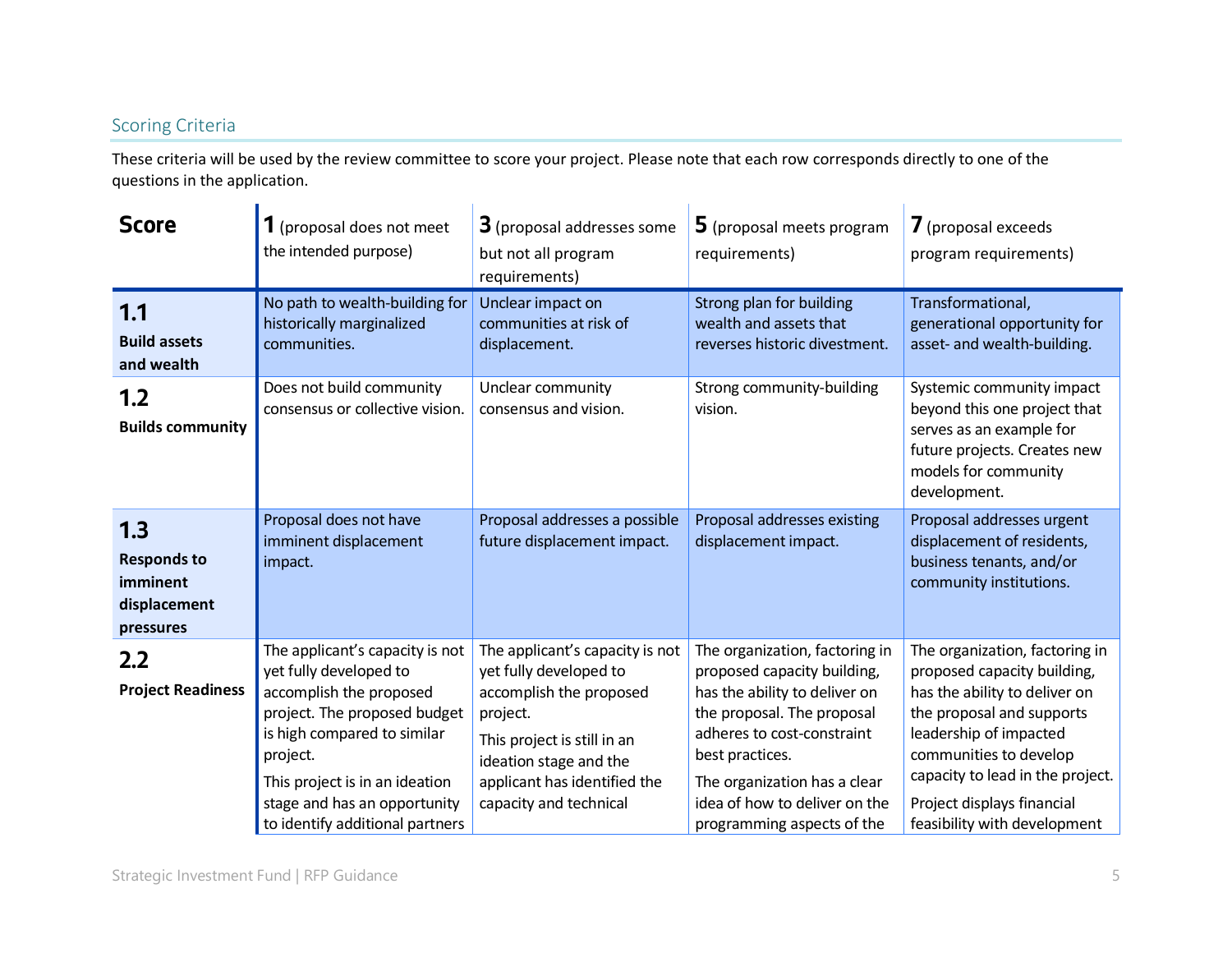### Scoring Criteria

These criteria will be used by the review committee to score your project. Please note that each row corresponds directly to one of the questions in the application.

| <b>Score</b>                                                       | 1 (proposal does not meet<br>the intended purpose)                                                                                                                                                                                                                   | 3 (proposal addresses some<br>but not all program<br>requirements)                                                                                                                                                  | 5 (proposal meets program<br>requirements)                                                                                                                                                                                                                                   | <b>7</b> (proposal exceeds<br>program requirements)                                                                                                                                                                                                                               |
|--------------------------------------------------------------------|----------------------------------------------------------------------------------------------------------------------------------------------------------------------------------------------------------------------------------------------------------------------|---------------------------------------------------------------------------------------------------------------------------------------------------------------------------------------------------------------------|------------------------------------------------------------------------------------------------------------------------------------------------------------------------------------------------------------------------------------------------------------------------------|-----------------------------------------------------------------------------------------------------------------------------------------------------------------------------------------------------------------------------------------------------------------------------------|
| 1.1<br><b>Build assets</b><br>and wealth                           | No path to wealth-building for<br>historically marginalized<br>communities.                                                                                                                                                                                          | Unclear impact on<br>communities at risk of<br>displacement.                                                                                                                                                        | Strong plan for building<br>wealth and assets that<br>reverses historic divestment.                                                                                                                                                                                          | Transformational,<br>generational opportunity for<br>asset- and wealth-building.                                                                                                                                                                                                  |
| 1.2<br><b>Builds community</b>                                     | Does not build community<br>consensus or collective vision.                                                                                                                                                                                                          | Unclear community<br>consensus and vision.                                                                                                                                                                          | Strong community-building<br>vision.                                                                                                                                                                                                                                         | Systemic community impact<br>beyond this one project that<br>serves as an example for<br>future projects. Creates new<br>models for community<br>development.                                                                                                                     |
| 1.3<br><b>Responds to</b><br>imminent<br>displacement<br>pressures | Proposal does not have<br>imminent displacement<br>impact.                                                                                                                                                                                                           | Proposal addresses a possible<br>future displacement impact.                                                                                                                                                        | Proposal addresses existing<br>displacement impact.                                                                                                                                                                                                                          | Proposal addresses urgent<br>displacement of residents,<br>business tenants, and/or<br>community institutions.                                                                                                                                                                    |
| $2.2\phantom{0}$<br><b>Project Readiness</b>                       | The applicant's capacity is not<br>yet fully developed to<br>accomplish the proposed<br>project. The proposed budget<br>is high compared to similar<br>project.<br>This project is in an ideation<br>stage and has an opportunity<br>to identify additional partners | The applicant's capacity is not<br>yet fully developed to<br>accomplish the proposed<br>project.<br>This project is still in an<br>ideation stage and the<br>applicant has identified the<br>capacity and technical | The organization, factoring in<br>proposed capacity building,<br>has the ability to deliver on<br>the proposal. The proposal<br>adheres to cost-constraint<br>best practices.<br>The organization has a clear<br>idea of how to deliver on the<br>programming aspects of the | The organization, factoring in<br>proposed capacity building,<br>has the ability to deliver on<br>the proposal and supports<br>leadership of impacted<br>communities to develop<br>capacity to lead in the project.<br>Project displays financial<br>feasibility with development |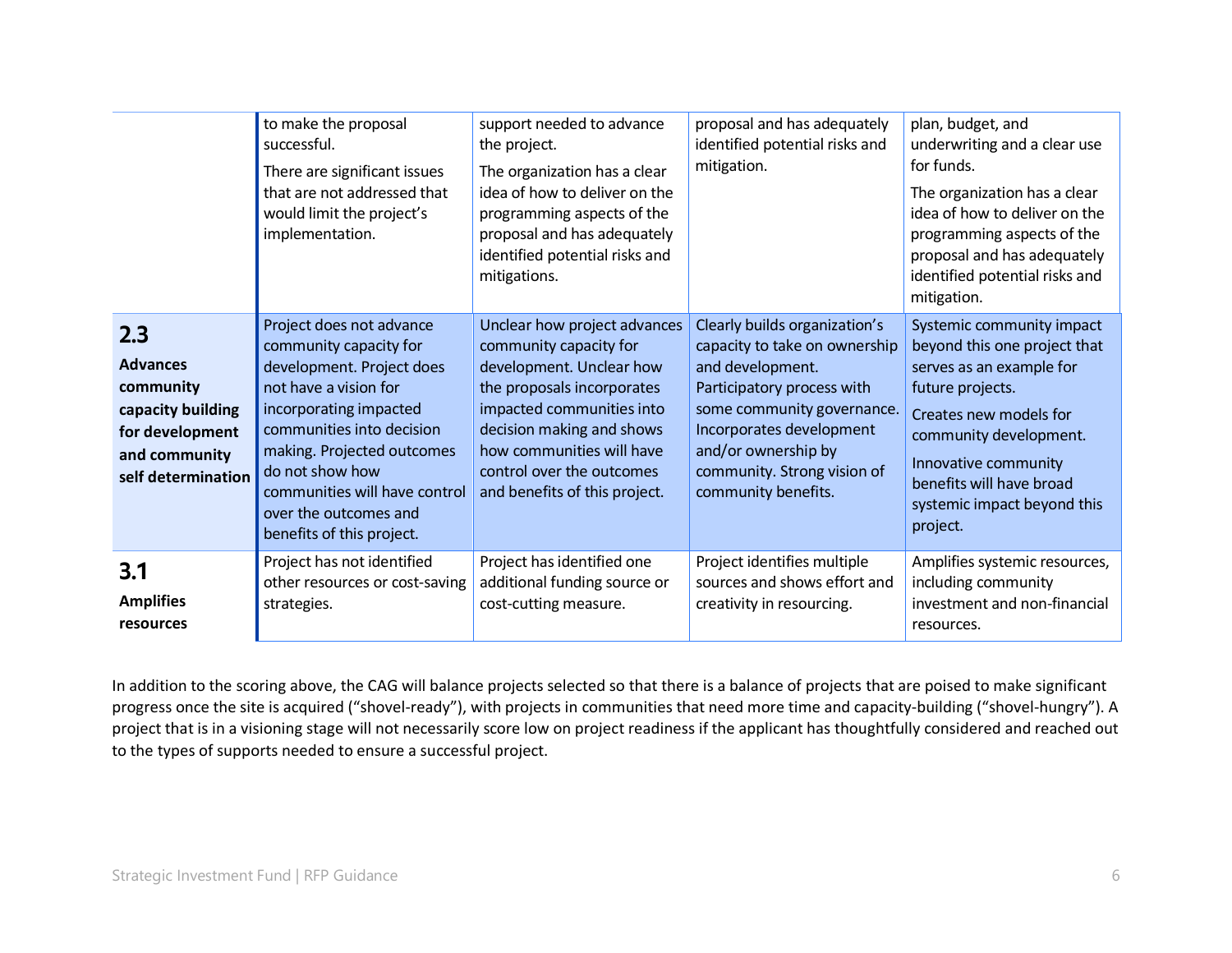|                                                                                                                    | to make the proposal<br>successful.<br>There are significant issues<br>that are not addressed that<br>would limit the project's<br>implementation.                                                                                                                                                      | support needed to advance<br>the project.<br>The organization has a clear<br>idea of how to deliver on the<br>programming aspects of the<br>proposal and has adequately<br>identified potential risks and<br>mitigations.                                             | proposal and has adequately<br>identified potential risks and<br>mitigation.                                                                                                                                                                            | plan, budget, and<br>underwriting and a clear use<br>for funds.<br>The organization has a clear<br>idea of how to deliver on the<br>programming aspects of the<br>proposal and has adequately<br>identified potential risks and<br>mitigation.               |
|--------------------------------------------------------------------------------------------------------------------|---------------------------------------------------------------------------------------------------------------------------------------------------------------------------------------------------------------------------------------------------------------------------------------------------------|-----------------------------------------------------------------------------------------------------------------------------------------------------------------------------------------------------------------------------------------------------------------------|---------------------------------------------------------------------------------------------------------------------------------------------------------------------------------------------------------------------------------------------------------|--------------------------------------------------------------------------------------------------------------------------------------------------------------------------------------------------------------------------------------------------------------|
| 2.3<br><b>Advances</b><br>community<br>capacity building<br>for development<br>and community<br>self determination | Project does not advance<br>community capacity for<br>development. Project does<br>not have a vision for<br>incorporating impacted<br>communities into decision<br>making. Projected outcomes<br>do not show how<br>communities will have control<br>over the outcomes and<br>benefits of this project. | Unclear how project advances<br>community capacity for<br>development. Unclear how<br>the proposals incorporates<br>impacted communities into<br>decision making and shows<br>how communities will have<br>control over the outcomes<br>and benefits of this project. | Clearly builds organization's<br>capacity to take on ownership<br>and development.<br>Participatory process with<br>some community governance.<br>Incorporates development<br>and/or ownership by<br>community. Strong vision of<br>community benefits. | Systemic community impact<br>beyond this one project that<br>serves as an example for<br>future projects.<br>Creates new models for<br>community development.<br>Innovative community<br>benefits will have broad<br>systemic impact beyond this<br>project. |
| 3.1<br><b>Amplifies</b><br>resources                                                                               | Project has not identified<br>other resources or cost-saving<br>strategies.                                                                                                                                                                                                                             | Project has identified one<br>additional funding source or<br>cost-cutting measure.                                                                                                                                                                                   | Project identifies multiple<br>sources and shows effort and<br>creativity in resourcing.                                                                                                                                                                | Amplifies systemic resources,<br>including community<br>investment and non-financial<br>resources.                                                                                                                                                           |

In addition to the scoring above, the CAG will balance projects selected so that there is a balance of projects that are poised to make significant progress once the site is acquired ("shovel-ready"), with projects in communities that need more time and capacity-building ("shovel-hungry"). A project that is in a visioning stage will not necessarily score low on project readiness if the applicant has thoughtfully considered and reached out to the types of supports needed to ensure a successful project.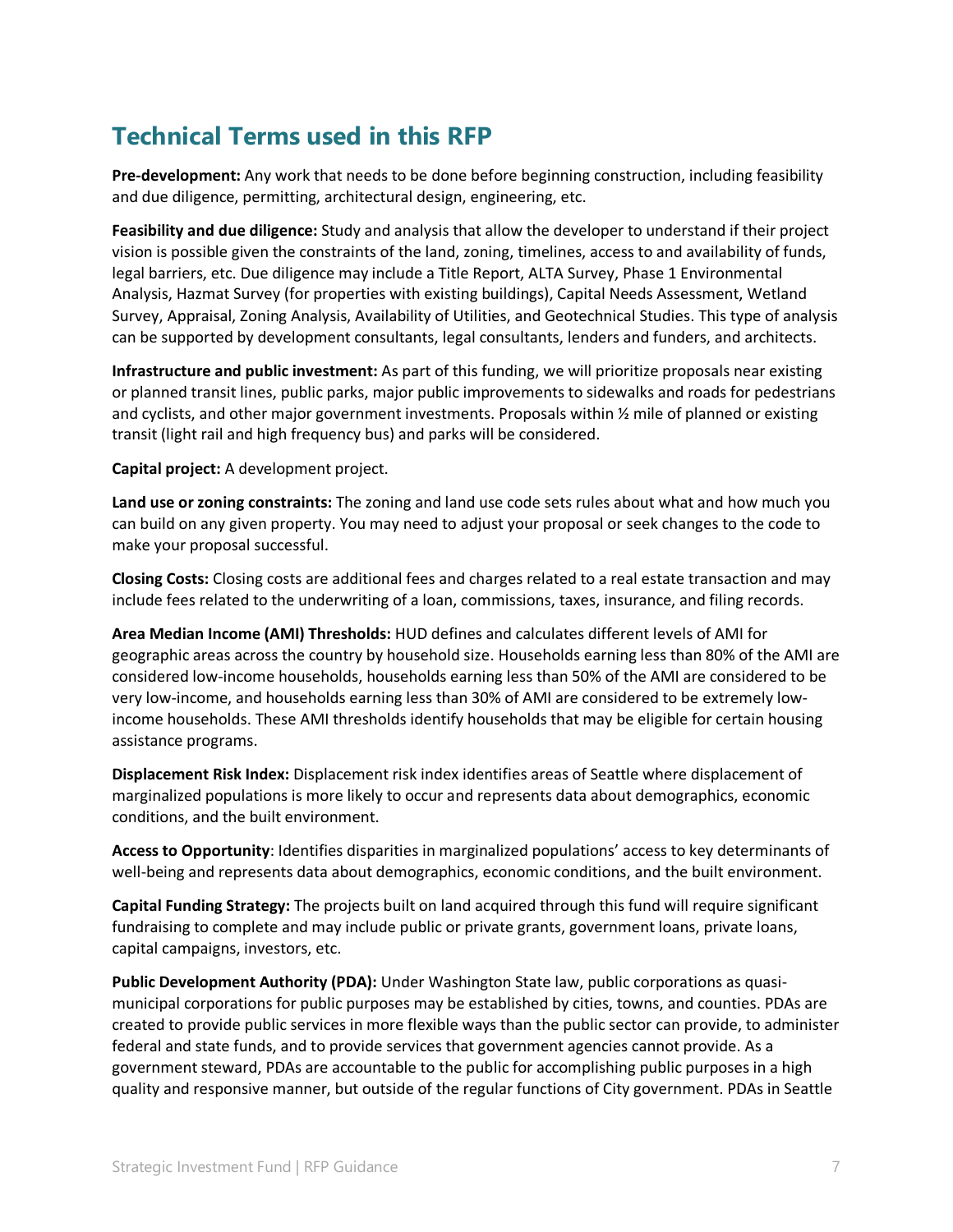# **Technical Terms used in this RFP**

**Pre-development:** Any work that needs to be done before beginning construction, including feasibility and due diligence, permitting, architectural design, engineering, etc.

**Feasibility and due diligence:** Study and analysis that allow the developer to understand if their project vision is possible given the constraints of the land, zoning, timelines, access to and availability of funds, legal barriers, etc. Due diligence may include a Title Report, ALTA Survey, Phase 1 Environmental Analysis, Hazmat Survey (for properties with existing buildings), Capital Needs Assessment, Wetland Survey, Appraisal, Zoning Analysis, Availability of Utilities, and Geotechnical Studies. This type of analysis can be supported by development consultants, legal consultants, lenders and funders, and architects.

**Infrastructure and public investment:** As part of this funding, we will prioritize proposals near existing or planned transit lines, public parks, major public improvements to sidewalks and roads for pedestrians and cyclists, and other major government investments. Proposals within  $\frac{1}{2}$  mile of planned or existing transit (light rail and high frequency bus) and parks will be considered.

#### **Capital project:** A development project.

**Land use or zoning constraints:** The zoning and land use code sets rules about what and how much you can build on any given property. You may need to adjust your proposal or seek changes to the code to make your proposal successful.

**Closing Costs:** Closing costs are additional fees and charges related to a real estate transaction and may include fees related to the underwriting of a loan, commissions, taxes, insurance, and filing records.

**Area Median Income (AMI) Thresholds:** HUD defines and calculates different levels of AMI for geographic areas across the country by household size. Households earning less than 80% of the AMI are considered low-income households, households earning less than 50% of the AMI are considered to be very low-income, and households earning less than 30% of AMI are considered to be extremely lowincome households. These AMI thresholds identify households that may be eligible for certain housing assistance programs.

**Displacement Risk Index:** Displacement risk index identifies areas of Seattle where displacement of marginalized populations is more likely to occur and represents data about demographics, economic conditions, and the built environment.

**Access to Opportunity**: Identifies disparities in marginalized populations' access to key determinants of well-being and represents data about demographics, economic conditions, and the built environment.

**Capital Funding Strategy:** The projects built on land acquired through this fund will require significant fundraising to complete and may include public or private grants, government loans, private loans, capital campaigns, investors, etc.

**Public Development Authority (PDA):** Under Washington State law, public corporations as quasimunicipal corporations for public purposes may be established by cities, towns, and counties. PDAs are created to provide public services in more flexible ways than the public sector can provide, to administer federal and state funds, and to provide services that government agencies cannot provide. As a government steward, PDAs are accountable to the public for accomplishing public purposes in a high quality and responsive manner, but outside of the regular functions of City government. PDAs in Seattle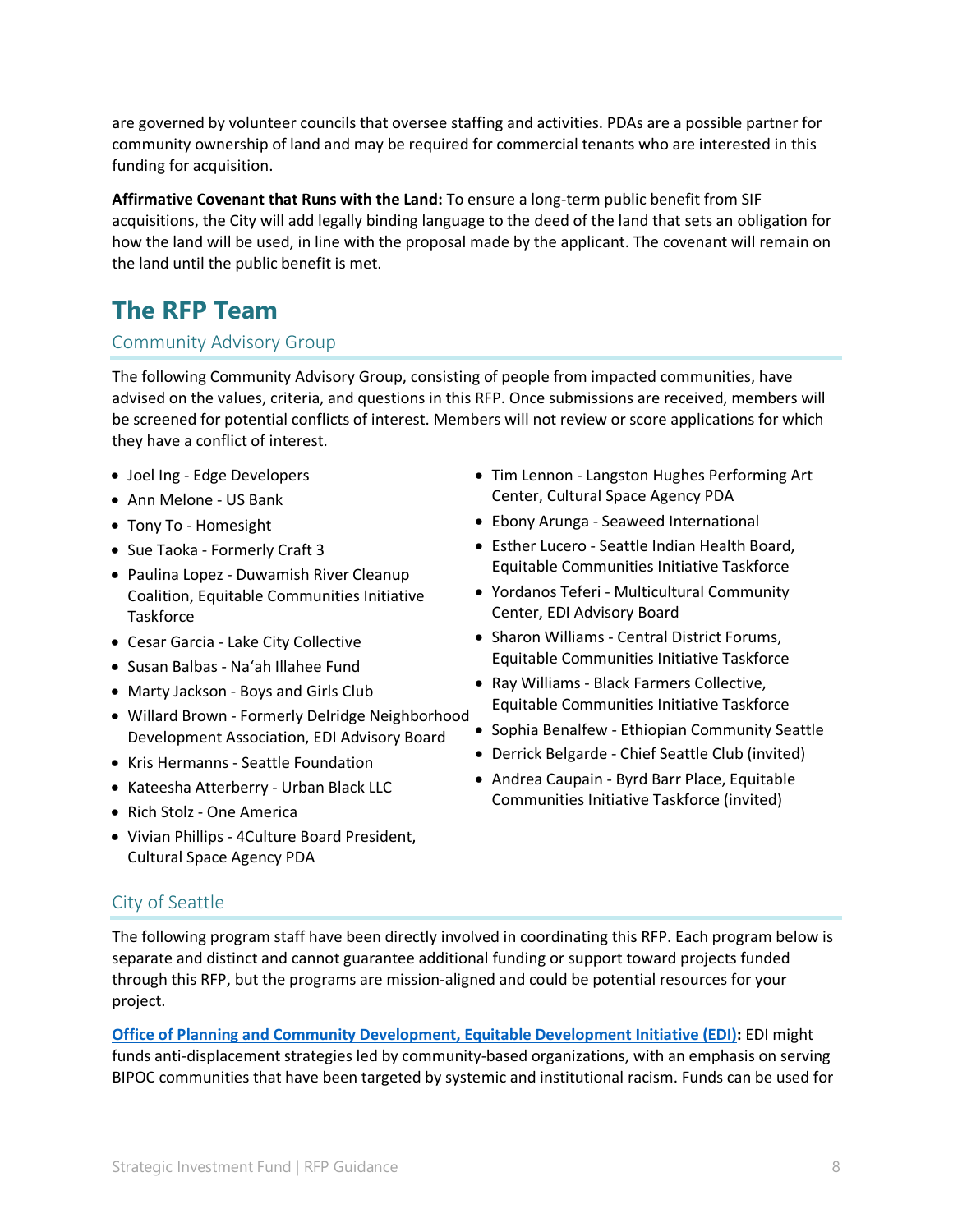are governed by volunteer councils that oversee staffing and activities. PDAs are a possible partner for community ownership of land and may be required for commercial tenants who are interested in this funding for acquisition.

**Affirmative Covenant that Runs with the Land:** To ensure a long-term public benefit from SIF acquisitions, the City will add legally binding language to the deed of the land that sets an obligation for how the land will be used, in line with the proposal made by the applicant. The covenant will remain on the land until the public benefit is met.

# **The RFP Team**

#### Community Advisory Group

The following Community Advisory Group, consisting of people from impacted communities, have advised on the values, criteria, and questions in this RFP. Once submissions are received, members will be screened for potential conflicts of interest. Members will not review or score applications for which they have a conflict of interest.

- Joel Ing Edge Developers
- Ann Melone US Bank
- Tony To Homesight
- Sue Taoka Formerly Craft 3
- Paulina Lopez Duwamish River Cleanup Coalition, Equitable Communities Initiative **Taskforce**
- Cesar Garcia Lake City Collective
- Susan Balbas Na'ah Illahee Fund
- Marty Jackson Boys and Girls Club
- Willard Brown Formerly Delridge Neighborhood Development Association, EDI Advisory Board
- Kris Hermanns Seattle Foundation
- Kateesha Atterberry Urban Black LLC
- Rich Stolz One America
- Vivian Phillips 4Culture Board President, Cultural Space Agency PDA
- Tim Lennon Langston Hughes Performing Art Center, Cultural Space Agency PDA
- Ebony Arunga Seaweed International
- Esther Lucero Seattle Indian Health Board, Equitable Communities Initiative Taskforce
- Yordanos Teferi Multicultural Community Center, EDI Advisory Board
- Sharon Williams Central District Forums, Equitable Communities Initiative Taskforce
- Ray Williams Black Farmers Collective, Equitable Communities Initiative Taskforce
- Sophia Benalfew Ethiopian Community Seattle
- Derrick Belgarde Chief Seattle Club (invited)
- Andrea Caupain Byrd Barr Place, Equitable Communities Initiative Taskforce (invited)

### City of Seattle

The following program staff have been directly involved in coordinating this RFP. Each program below is separate and distinct and cannot guarantee additional funding or support toward projects funded through this RFP, but the programs are mission-aligned and could be potential resources for your project.

**[Office of Planning and Community Development, Equitable Development Initiative \(EDI\):](https://www.seattle.gov/opcd/ongoing-initiatives/equitable-development-initiative)** EDI might funds anti-displacement strategies led by community-based organizations, with an emphasis on serving BIPOC communities that have been targeted by systemic and institutional racism. Funds can be used for